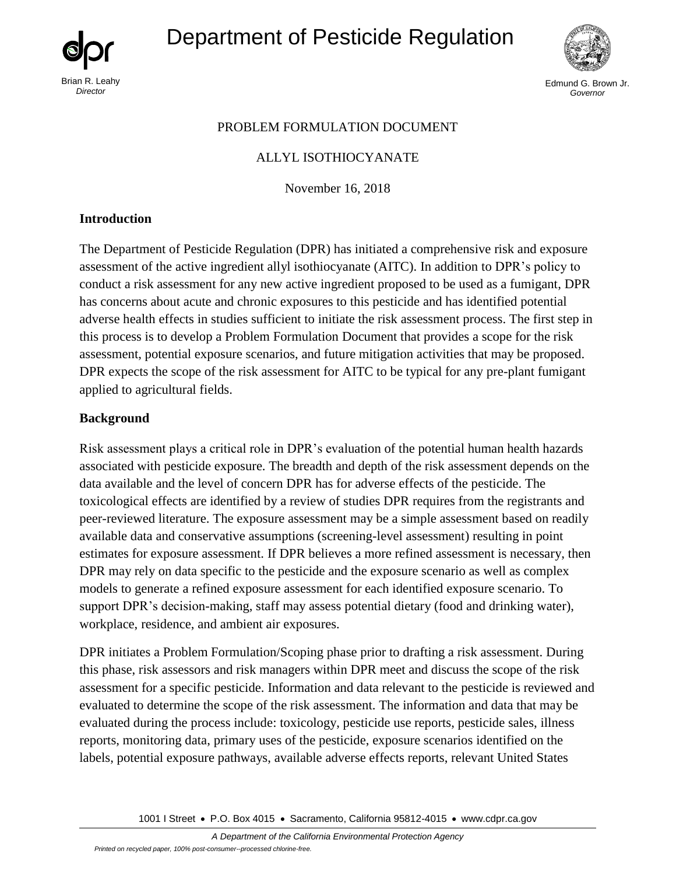

# Department of Pesticide Regulation



Edmund G. Brown Jr. *Governor* 

## PROBLEM FORMULATION DOCUMENT

## ALLYL ISOTHIOCYANATE

November 16, 2018

#### **Introduction**

The Department of Pesticide Regulation (DPR) has initiated a comprehensive risk and exposure assessment of the active ingredient allyl isothiocyanate (AITC). In addition to DPR's policy to conduct a risk assessment for any new active ingredient proposed to be used as a fumigant, DPR has concerns about acute and chronic exposures to this pesticide and has identified potential adverse health effects in studies sufficient to initiate the risk assessment process. The first step in this process is to develop a Problem Formulation Document that provides a scope for the risk assessment, potential exposure scenarios, and future mitigation activities that may be proposed. DPR expects the scope of the risk assessment for AITC to be typical for any pre-plant fumigant applied to agricultural fields.

## **Background**

Risk assessment plays a critical role in DPR's evaluation of the potential human health hazards associated with pesticide exposure. The breadth and depth of the risk assessment depends on the data available and the level of concern DPR has for adverse effects of the pesticide. The toxicological effects are identified by a review of studies DPR requires from the registrants and peer-reviewed literature. The exposure assessment may be a simple assessment based on readily available data and conservative assumptions (screening-level assessment) resulting in point estimates for exposure assessment. If DPR believes a more refined assessment is necessary, then DPR may rely on data specific to the pesticide and the exposure scenario as well as complex models to generate a refined exposure assessment for each identified exposure scenario. To support DPR's decision-making, staff may assess potential dietary (food and drinking water), workplace, residence, and ambient air exposures.

DPR initiates a Problem Formulation/Scoping phase prior to drafting a risk assessment. During this phase, risk assessors and risk managers within DPR meet and discuss the scope of the risk assessment for a specific pesticide. Information and data relevant to the pesticide is reviewed and evaluated to determine the scope of the risk assessment. The information and data that may be evaluated during the process include: toxicology, pesticide use reports, pesticide sales, illness reports, monitoring data, primary uses of the pesticide, exposure scenarios identified on the labels, potential exposure pathways, available adverse effects reports, relevant United States

1001 I Street • P.O. Box 4015 • Sacramento, California 95812-4015 • [www.cdpr.ca.gov](http://www.cdpr.ca.gov/)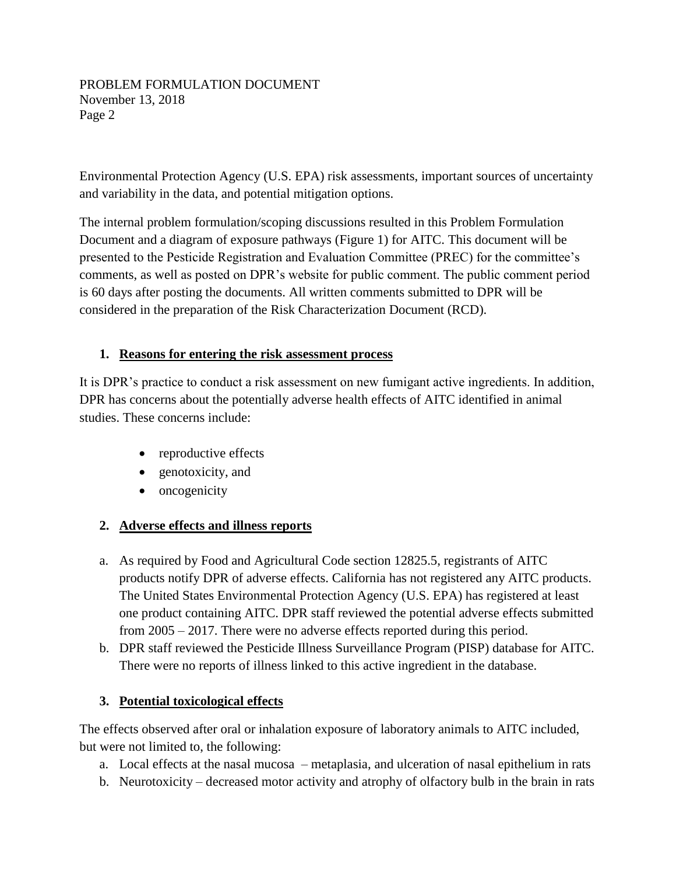#### PROBLEM FORMULATION DOCUMENT November 13, 2018 Page 2

Environmental Protection Agency (U.S. EPA) risk assessments, important sources of uncertainty and variability in the data, and potential mitigation options.

The internal problem formulation/scoping discussions resulted in this Problem Formulation Document and a diagram of exposure pathways (Figure 1) for AITC. This document will be presented to the Pesticide Registration and Evaluation Committee (PREC) for the committee's comments, as well as posted on DPR's website for public comment. The public comment period is 60 days after posting the documents. All written comments submitted to DPR will be considered in the preparation of the Risk Characterization Document (RCD).

## **1. Reasons for entering the risk assessment process**

It is DPR's practice to conduct a risk assessment on new fumigant active ingredients. In addition, DPR has concerns about the potentially adverse health effects of AITC identified in animal studies. These concerns include:

- reproductive effects
- genotoxicity, and
- oncogenicity

## **2. Adverse effects and illness reports**

- a. As required by Food and Agricultural Code section 12825.5, registrants of AITC products notify DPR of adverse effects. California has not registered any AITC products. The United States Environmental Protection Agency (U.S. EPA) has registered at least one product containing AITC. DPR staff reviewed the potential adverse effects submitted from 2005 – 2017. There were no adverse effects reported during this period.
- b. DPR staff reviewed the Pesticide Illness Surveillance Program (PISP) database for AITC. There were no reports of illness linked to this active ingredient in the database.

## **3. Potential toxicological effects**

The effects observed after oral or inhalation exposure of laboratory animals to AITC included, but were not limited to, the following:

- a. Local effects at the nasal mucosa metaplasia, and ulceration of nasal epithelium in rats
- b. Neurotoxicity decreased motor activity and atrophy of olfactory bulb in the brain in rats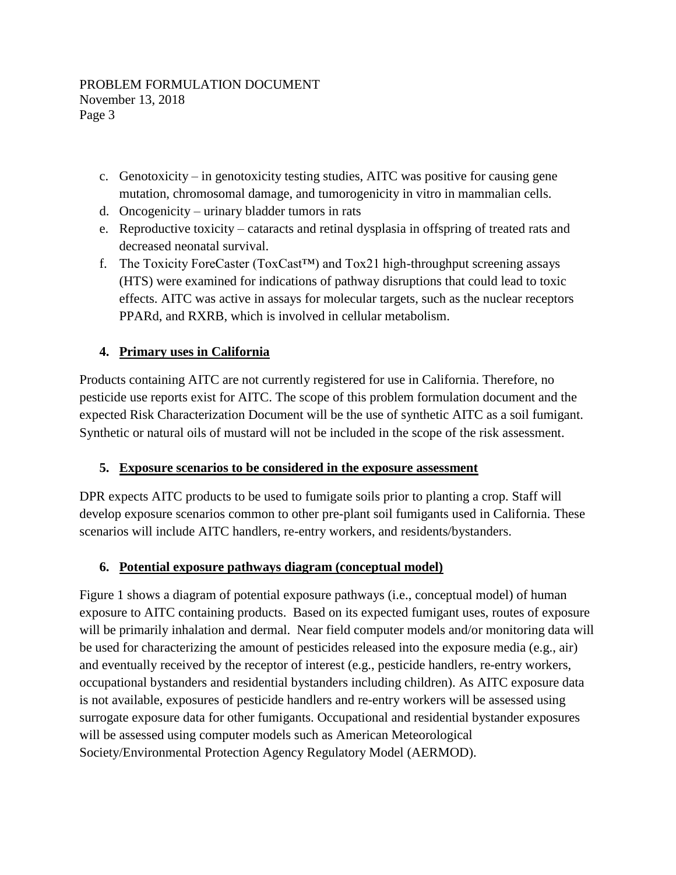- c. Genotoxicity in genotoxicity testing studies, AITC was positive for causing gene mutation, chromosomal damage, and tumorogenicity in vitro in mammalian cells.
- d. Oncogenicity urinary bladder tumors in rats
- e. Reproductive toxicity cataracts and retinal dysplasia in offspring of treated rats and decreased neonatal survival.
- f. The Toxicity ForeCaster (ToxCast<sup>TM</sup>) and Tox21 high-throughput screening assays (HTS) were examined for indications of pathway disruptions that could lead to toxic effects. AITC was active in assays for molecular targets, such as the nuclear receptors PPARd, and RXRB, which is involved in cellular metabolism.

# **4. Primary uses in California**

Products containing AITC are not currently registered for use in California. Therefore, no pesticide use reports exist for AITC. The scope of this problem formulation document and the expected Risk Characterization Document will be the use of synthetic AITC as a soil fumigant. Synthetic or natural oils of mustard will not be included in the scope of the risk assessment.

## **5. Exposure scenarios to be considered in the exposure assessment**

DPR expects AITC products to be used to fumigate soils prior to planting a crop. Staff will develop exposure scenarios common to other pre-plant soil fumigants used in California. These scenarios will include AITC handlers, re-entry workers, and residents/bystanders.

## **6. Potential exposure pathways diagram (conceptual model)**

Figure 1 shows a diagram of potential exposure pathways (i.e., conceptual model) of human exposure to AITC containing products. Based on its expected fumigant uses, routes of exposure will be primarily inhalation and dermal. Near field computer models and/or monitoring data will be used for characterizing the amount of pesticides released into the exposure media (e.g., air) and eventually received by the receptor of interest (e.g., pesticide handlers, re-entry workers, occupational bystanders and residential bystanders including children). As AITC exposure data is not available, exposures of pesticide handlers and re-entry workers will be assessed using surrogate exposure data for other fumigants. Occupational and residential bystander exposures will be assessed using computer models such as American Meteorological Society/Environmental Protection Agency Regulatory Model (AERMOD).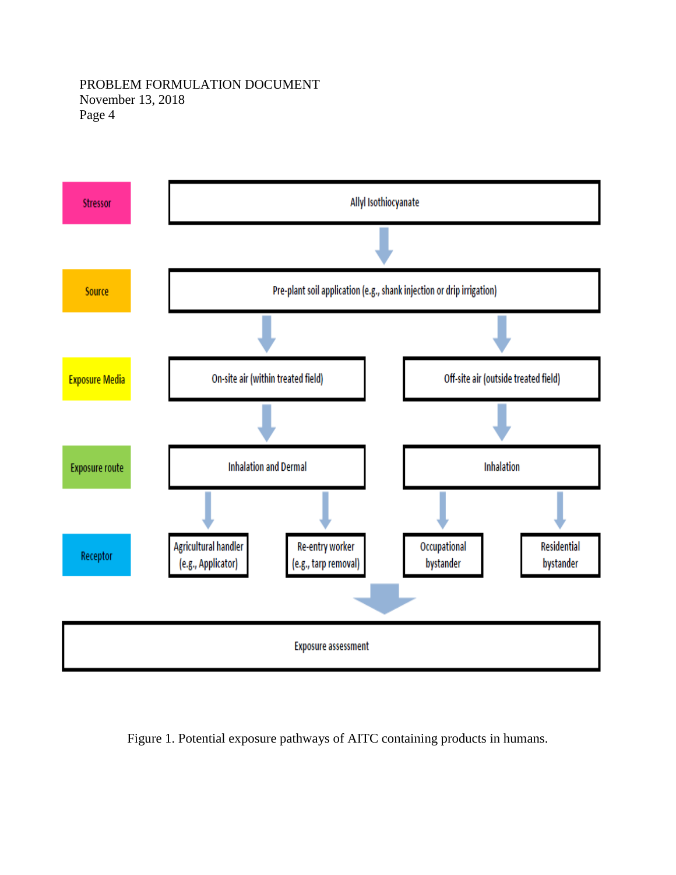#### PROBLEM FORMULATION DOCUMENT November 13, 2018 Page 4



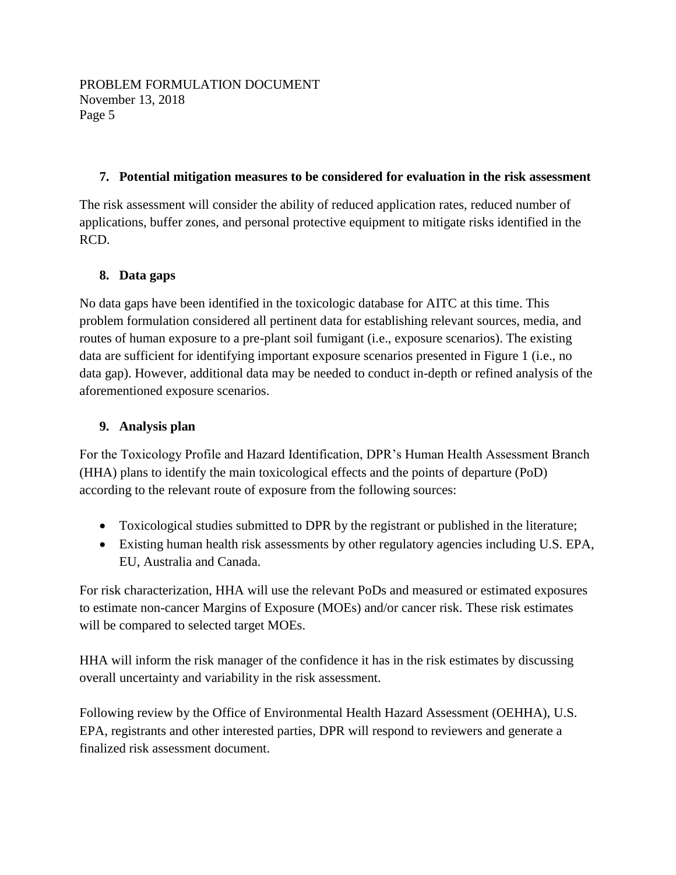# **7. Potential mitigation measures to be considered for evaluation in the risk assessment**

The risk assessment will consider the ability of reduced application rates, reduced number of applications, buffer zones, and personal protective equipment to mitigate risks identified in the RCD.

# **8. Data gaps**

No data gaps have been identified in the toxicologic database for AITC at this time. This problem formulation considered all pertinent data for establishing relevant sources, media, and routes of human exposure to a pre-plant soil fumigant (i.e., exposure scenarios). The existing data are sufficient for identifying important exposure scenarios presented in Figure 1 (i.e., no data gap). However, additional data may be needed to conduct in-depth or refined analysis of the aforementioned exposure scenarios.

# **9. Analysis plan**

For the Toxicology Profile and Hazard Identification, DPR's Human Health Assessment Branch (HHA) plans to identify the main toxicological effects and the points of departure (PoD) according to the relevant route of exposure from the following sources:

- Toxicological studies submitted to DPR by the registrant or published in the literature;
- Existing human health risk assessments by other regulatory agencies including U.S. EPA, EU, Australia and Canada.

For risk characterization, HHA will use the relevant PoDs and measured or estimated exposures to estimate non-cancer Margins of Exposure (MOEs) and/or cancer risk. These risk estimates will be compared to selected target MOEs.

HHA will inform the risk manager of the confidence it has in the risk estimates by discussing overall uncertainty and variability in the risk assessment.

Following review by the Office of Environmental Health Hazard Assessment (OEHHA), U.S. EPA, registrants and other interested parties, DPR will respond to reviewers and generate a finalized risk assessment document.